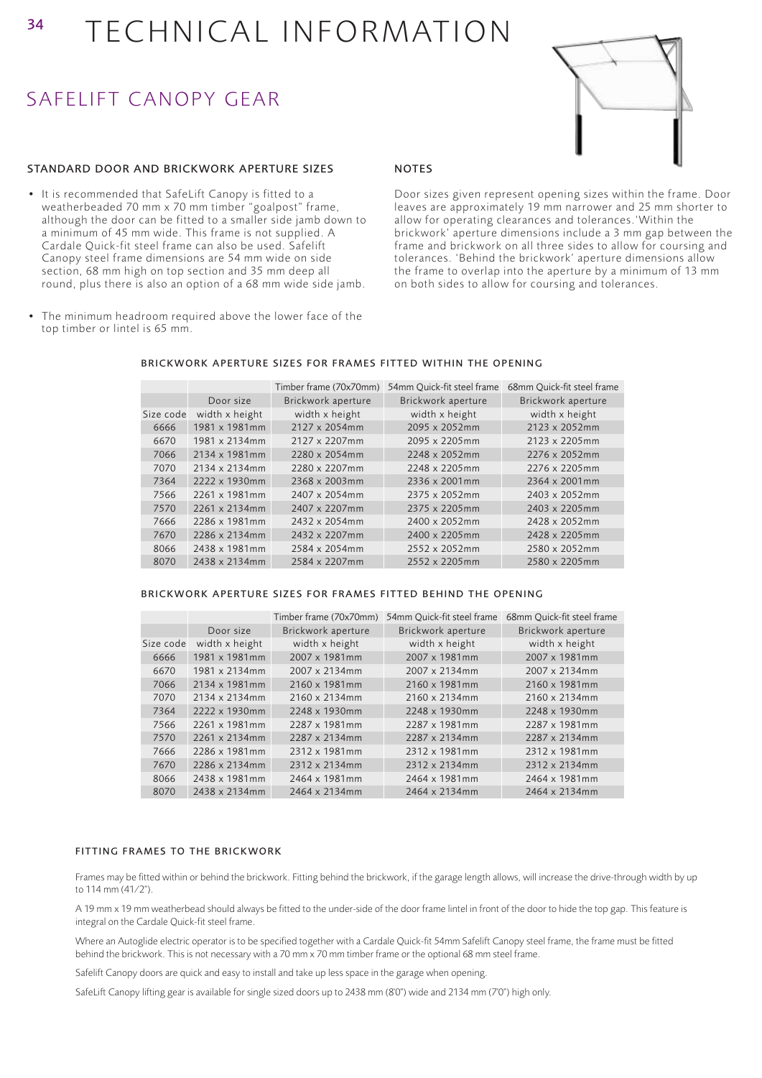## SAFELIFT CANOPY GEAR

#### STANDARD DOOR AND BRICKWORK APERTURE SIZES

- It is recommended that SafeLift Canopy is fitted to a weatherbeaded 70 mm x 70 mm timber "goalpost" frame, although the door can be fitted to a smaller side jamb down to a minimum of 45 mm wide. This frame is not supplied. A Cardale Quick-fit steel frame can also be used. Safelift Canopy steel frame dimensions are 54 mm wide on side section, 68 mm high on top section and 35 mm deep all round, plus there is also an option of a 68 mm wide side jamb.
- The minimum headroom required above the lower face of the top timber or lintel is 65 mm.

#### NOTES

Door sizes given represent opening sizes within the frame. Door leaves are approximately 19 mm narrower and 25 mm shorter to allow for operating clearances and tolerances.'Within the brickwork' aperture dimensions include a 3 mm gap between the frame and brickwork on all three sides to allow for coursing and tolerances. 'Behind the brickwork' aperture dimensions allow the frame to overlap into the aperture by a minimum of 13 mm on both sides to allow for coursing and tolerances.

|           |                | Timber frame (70x70mm) | 54mm Ouick-fit steel frame | 68mm Quick-fit steel frame |
|-----------|----------------|------------------------|----------------------------|----------------------------|
|           | Door size      | Brickwork aperture     | Brickwork aperture         | Brickwork aperture         |
| Size code | width x height | width x height         | width x height             | width x height             |
| 6666      | 1981 x 1981mm  | 2127 x 2054mm          | 2095 x 2052mm              | 2123 x 2052mm              |
| 6670      | 1981 x 2134mm  | 2127 x 2207mm          | 2095 x 2205mm              | 2123 x 2205mm              |
| 7066      | 2134 x 1981mm  | 2280 x 2054mm          | 2248 x 2052mm              | 2276 x 2052mm              |
| 7070      | 2134 x 2134mm  | 2280 x 2207mm          | 2248 x 2205mm              | 2276 x 2205mm              |
| 7364      | 2222 x 1930mm  | 2368 x 2003mm          | 2336 x 2001mm              | 2364 x 2001mm              |
| 7566      | 2261 x 1981mm  | 2407 x 2054mm          | 2375 x 2052mm              | 2403 x 2052mm              |
| 7570      | 2261 x 2134mm  | 2407 x 2207mm          | 2375 x 2205mm              | 2403 x 2205mm              |
| 7666      | 2286 x 1981mm  | 2432 x 2054mm          | 2400 x 2052mm              | 2428 x 2052mm              |
| 7670      | 2286 x 2134mm  | 2432 x 2207mm          | 2400 x 2205mm              | 2428 x 2205mm              |
| 8066      | 2438 x 1981mm  | 2584 x 2054mm          | 2552 x 2052mm              | 2580 x 2052mm              |
| 8070      | 2438 x 2134mm  | 2584 x 2207mm          | 2552 x 2205mm              | 2580 x 2205mm              |

#### BRICKWORK APERTURE SIZES FOR FRAMES FITTED WITHIN THE OPENING

#### BRICKWORK APERTURE SIZES FOR FRAMES FITTED BEHIND THE OPENING

|           |                       | Timber frame (70x70mm) | 54mm Ouick-fit steel frame | 68mm Ouick-fit steel frame |
|-----------|-----------------------|------------------------|----------------------------|----------------------------|
|           | Door size             | Brickwork aperture     | Brickwork aperture         | Brickwork aperture         |
| Size code | width x height        | width x height         | width x height             | width x height             |
| 6666      | 1981 x 1981mm         | 2007 x 1981mm          | 2007 x 1981mm              | 2007 x 1981mm              |
| 6670      | 1981 x 2134mm         | 2007 x 2134mm          | 2007 x 2134mm              | 2007 x 2134mm              |
| 7066      | 2134 x 1981mm         | 2160 x 1981mm          | 2160 x 1981mm              | 2160 x 1981mm              |
| 7070      | 2134 x 2134mm         | 2160 x 2134mm          | 2160 x 2134mm              | 2160 x 2134mm              |
| 7364      | 2222 x 1930mm         | 2248 x 1930mm          | 2248 x 1930mm              | 2248 x 1930mm              |
| 7566      | 2261 x 1981mm         | 2287 x 1981mm          | 2287 x 1981mm              | 2287 x 1981mm              |
| 7570      | $2261 \times 2134$ mm | 2287 x 2134mm          | 2287 x 2134mm              | 2287 x 2134mm              |
| 7666      | 2286 x 1981mm         | 2312 x 1981mm          | 2312 x 1981mm              | 2312 x 1981mm              |
| 7670      | 2286 x 2134mm         | 2312 x 2134mm          | 2312 x 2134mm              | 2312 x 2134mm              |
| 8066      | 2438 x 1981mm         | 2464 x 1981mm          | 2464 x 1981mm              | 2464 x 1981mm              |
| 8070      | 2438 x 2134mm         | 2464 x 2134mm          | 2464 x 2134mm              | 2464 x 2134mm              |

#### FITTING FRAMES TO THE BRICKWORK

Frames may be fitted within or behind the brickwork. Fitting behind the brickwork, if the garage length allows, will increase the drive-through width by up to 114 mm (41⁄2").

A 19 mm x 19 mm weatherbead should always be fitted to the under-side of the door frame lintel in front of the door to hide the top gap. This feature is integral on the Cardale Quick-fit steel frame.

Where an Autoglide electric operator is to be specified together with a Cardale Quick-fit 54mm Safelift Canopy steel frame, the frame must be fitted behind the brickwork. This is not necessary with a 70 mm x 70 mm timber frame or the optional 68 mm steel frame.

Safelift Canopy doors are quick and easy to install and take up less space in the garage when opening.

SafeLift Canopy lifting gear is available for single sized doors up to 2438 mm (8'0") wide and 2134 mm (7'0") high only.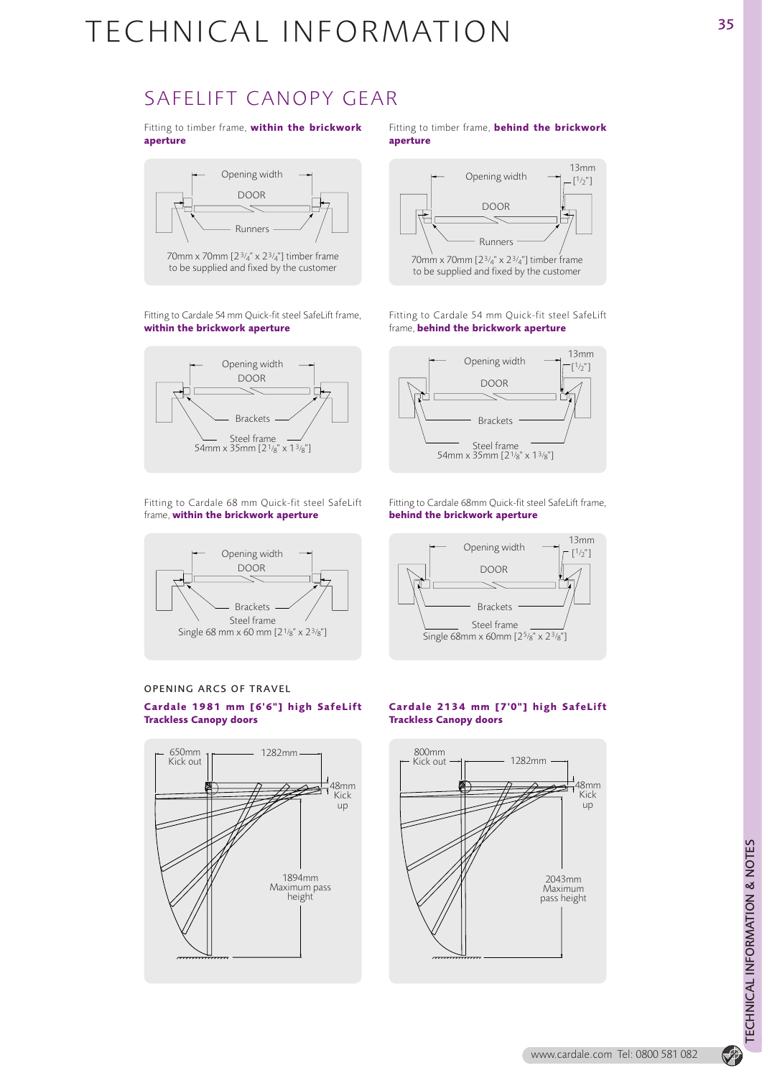### SAFELIFT CANOPY GEAR

Fitting to timber frame, **within the brickwork aperture**



70mm x 70mm [2 3/4" x 23/4"] timber frame to be supplied and fixed by the customer

Fitting to Cardale 54 mm Quick-fit steel SafeLift frame, **within the brickwork aperture**



Fitting to Cardale 68 mm Quick-fit steel SafeLift frame, **within the brickwork aperture**



OPENING ARCS OF TRAVEL **Cardale 1981 mm [6'6"] high SafeLift Trackless Canopy doors**



Fitting to timber frame, **behind the brickwork aperture**



Fitting to Cardale 54 mm Quick-fit steel SafeLift frame, **behind the brickwork aperture**



Fitting to Cardale 68mm Quick-fit steel SafeLift frame, **behind the brickwork aperture**



#### **Cardale 2134 mm [7'0"] high SafeLift Trackless Canopy doors**



www.cardale.com Tel: 0800 581 082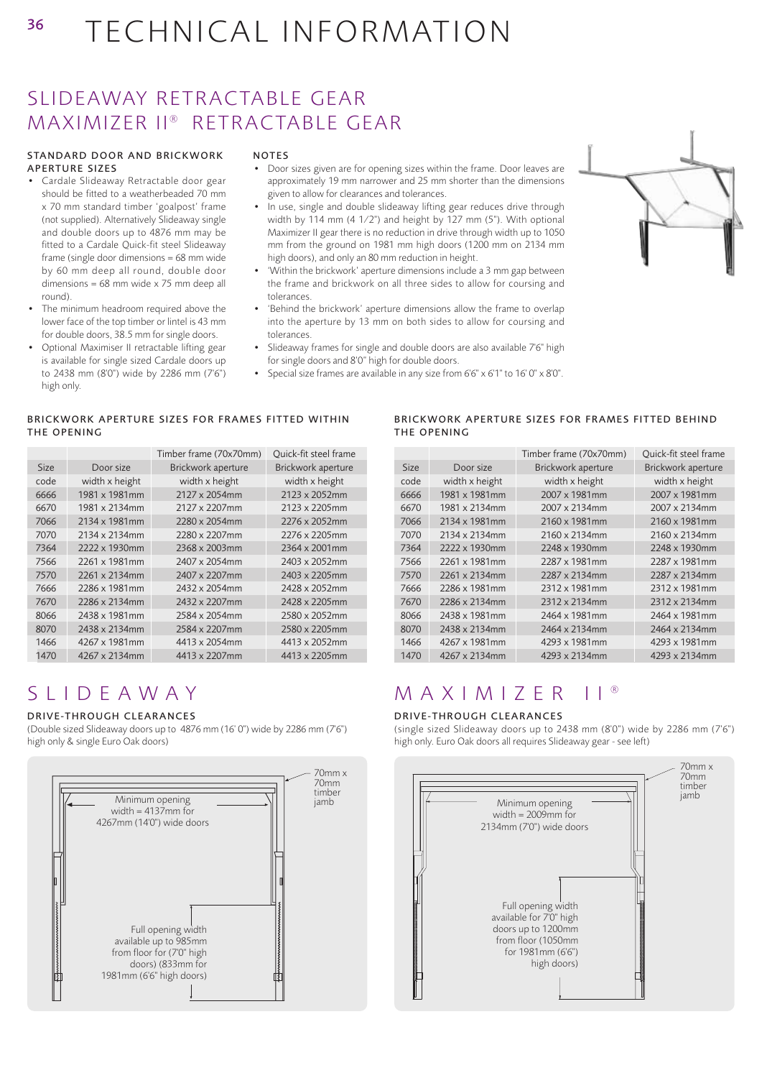## SLIDEAWAY RETRACTABLE GEAR MAXIMIZER II® RETRACTABLE GEAR

#### STANDARD DOOR AND BRICKWORK APERTURE SIZES

- Cardale Slideaway Retractable door gear should be fitted to a weatherbeaded 70 mm x 70 mm standard timber 'goalpost' frame (not supplied). Alternatively Slideaway single and double doors up to 4876 mm may be fitted to a Cardale Quick-fit steel Slideaway frame (single door dimensions = 68 mm wide by 60 mm deep all round, double door dimensions = 68 mm wide x 75 mm deep all round).
- The minimum headroom required above the lower face of the top timber or lintel is 43 mm for double doors, 38.5 mm for single doors.
- Optional Maximiser II retractable lifting gear is available for single sized Cardale doors up to 2438 mm (8'0") wide by 2286 mm (7'6") high only.

#### NOTES

- Door sizes given are for opening sizes within the frame. Door leaves are approximately 19 mm narrower and 25 mm shorter than the dimensions given to allow for clearances and tolerances.
- In use, single and double slideaway lifting gear reduces drive through width by 114 mm (4 1⁄2") and height by 127 mm (5"). With optional Maximizer II gear there is no reduction in drive through width up to 1050 mm from the ground on 1981 mm high doors (1200 mm on 2134 mm high doors), and only an 80 mm reduction in height.
- 'Within the brickwork' aperture dimensions include a 3 mm gap between the frame and brickwork on all three sides to allow for coursing and tolerances.
- 'Behind the brickwork' aperture dimensions allow the frame to overlap into the aperture by 13 mm on both sides to allow for coursing and tolerances.
- Slideaway frames for single and double doors are also available 7'6" high for single doors and 8'0" high for double doors.
- Special size frames are available in any size from 6'6" x 6'1" to 16' 0" x 8'0".

#### BRICKWORK APERTURE SIZES FOR FRAMES FITTED WITHIN THE OPENING

|             |                | Timber frame (70x70mm) | Quick-fit steel frame |
|-------------|----------------|------------------------|-----------------------|
| <b>Size</b> | Door size      | Brickwork aperture     | Brickwork aperture    |
| code        | width x height | width x height         | width x height        |
| 6666        | 1981 x 1981mm  | 2127 x 2054mm          | 2123 x 2052mm         |
| 6670        | 1981 x 2134mm  | 2127 x 2207mm          | 2123 x 2205mm         |
| 7066        | 2134 x 1981mm  | 2280 x 2054mm          | 2276 x 2052mm         |
| 7070        | 2134 x 2134mm  | 2280 x 2207mm          | 2276 x 2205mm         |
| 7364        | 2222 x 1930mm  | 2368 x 2003mm          | 2364 x 2001mm         |
| 7566        | 2261 x 1981mm  | 2407 x 2054mm          | 2403 x 2052mm         |
| 7570        | 2261 x 2134mm  | 2407 x 2207mm          | 2403 x 2205mm         |
| 7666        | 2286 x 1981mm  | 2432 x 2054mm          | 2428 x 2052mm         |
| 7670        | 2286 x 2134mm  | 2432 x 2207mm          | 2428 x 2205mm         |
| 8066        | 2438 x 1981mm  | 2584 x 2054mm          | 2580 x 2052mm         |
| 8070        | 2438 x 2134mm  | 2584 x 2207mm          | 2580 x 2205mm         |
| 1466        | 4267 x 1981mm  | 4413 x 2054mm          | 4413 x 2052mm         |
| 1470        | 4267 x 2134mm  | 4413 x 2207mm          | 4413 x 2205mm         |

#### BRICKWORK APERTURE SIZES FOR FRAMES FITTED BEHIND THE OPENING

|             |                | Timber frame (70x70mm) | Ouick-fit steel frame |
|-------------|----------------|------------------------|-----------------------|
| <b>Size</b> | Door size      | Brickwork aperture     | Brickwork aperture    |
| code        | width x height | width x height         | width x height        |
| 6666        | 1981 x 1981mm  | 2007 x 1981mm          | 2007 x 1981mm         |
| 6670        | 1981 x 2134mm  | 2007 x 2134mm          | 2007 x 2134mm         |
| 7066        | 2134 x 1981mm  | 2160 x 1981mm          | 2160 x 1981mm         |
| 7070        | 2134 x 2134mm  | 2160 x 2134mm          | 2160 x 2134mm         |
| 7364        | 2222 x 1930mm  | 2248 x 1930mm          | 2248 x 1930mm         |
| 7566        | 2261 x 1981mm  | 2287 x 1981mm          | 2287 x 1981mm         |
| 7570        | 2261 x 2134mm  | 2287 x 2134mm          | 2287 x 2134mm         |
| 7666        | 2286 x 1981mm  | 2312 x 1981mm          | 2312 x 1981mm         |
| 7670        | 2286 x 2134mm  | 2312 x 2134mm          | 2312 x 2134mm         |
| 8066        | 2438 x 1981mm  | 2464 x 1981mm          | 2464 x 1981mm         |
| 8070        | 2438 x 2134mm  | 2464 x 2134mm          | 2464 x 2134mm         |
| 1466        | 4267 x 1981mm  | 4293 x 1981mm          | 4293 x 1981mm         |
| 1470        | 4267 x 2134mm  | 4293 x 2134mm          | 4293 x 2134mm         |

## SLIDEAWAY

#### DRIVE-THROUGH CLEARANCES

(Double sized Slideaway doors up to 4876 mm (16' 0") wide by 2286 mm (7'6") high only & single Euro Oak doors)



## MAXIMIZER II ®

#### DRIVE-THROUGH CLEARANCES

(single sized Slideaway doors up to 2438 mm (8'0") wide by 2286 mm (7'6") high only. Euro Oak doors all requires Slideaway gear - see left)



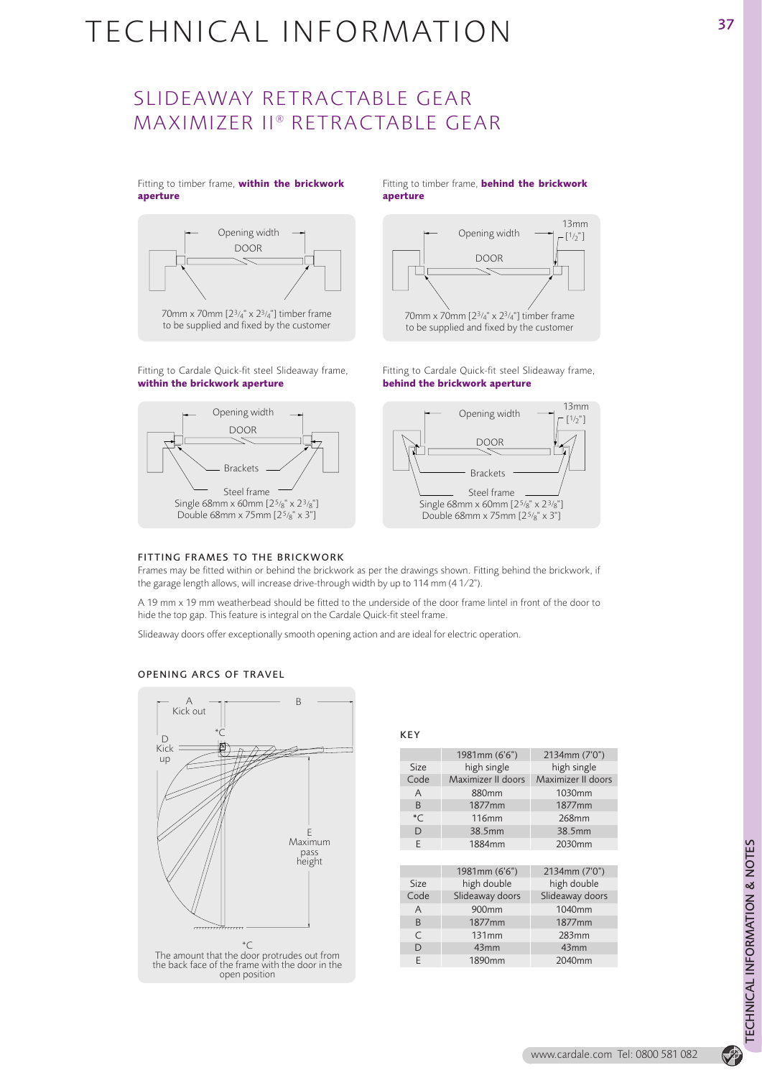## SLIDEAWAY RETRACTABLE GEAR MAXIMIZER II® RETRACTABLE GEAR

#### Fitting to timber frame, **within the brickwork aperture**



Fitting to Cardale Quick-fit steel Slideaway frame, **within the brickwork aperture**



#### Fitting to timber frame, **behind the brickwork aperture**



Fitting to Cardale Quick-fit steel Slideaway frame, **behind the brickwork aperture**



#### FITTING FRAMES TO THE BRICKWORK

Frames may be fitted within or behind the brickwork as per the drawings shown. Fitting behind the brickwork, if the garage length allows, will increase drive-through width by up to 114 mm (4 1⁄2").

A 19 mm x 19 mm weatherbead should be fitted to the underside of the door frame lintel in front of the door to hide the top gap. This feature is integral on the Cardale Quick-fit steel frame.

Slideaway doors offer exceptionally smooth opening action and are ideal for electric operation.

#### OPENING ARCS OF TRAVEL



KEY

|             | 1981mm (6'6")      | 2134mm (7'0")      |  |
|-------------|--------------------|--------------------|--|
| <b>Size</b> | high single        | high single        |  |
| Code        | Maximizer II doors | Maximizer II doors |  |
| A           | 880mm              | 1030mm             |  |
| B           | 1877 <sub>mm</sub> | 1877 <sub>mm</sub> |  |
| $^{\ast}$ C | <b>116mm</b>       | 268mm              |  |
| D           | 38.5mm             | 38.5mm             |  |
| F           | 1884mm             | 2030mm             |  |
|             |                    |                    |  |
|             | 1981mm (6'6")      | 2134mm (7'0")      |  |
| Size        | high double        | high double        |  |
| Code        | Slideaway doors    | Slideaway doors    |  |
| A           | 900 <sub>mm</sub>  | 1040mm             |  |
| B           | 1877 <sub>mm</sub> | 1877 <sub>mm</sub> |  |
| C           | 131mm              | 283mm              |  |
| D           | 43mm               | 43 <sub>mm</sub>   |  |
| E           | 1890mm             | 2040mm             |  |
|             |                    |                    |  |

 $\bigcirc$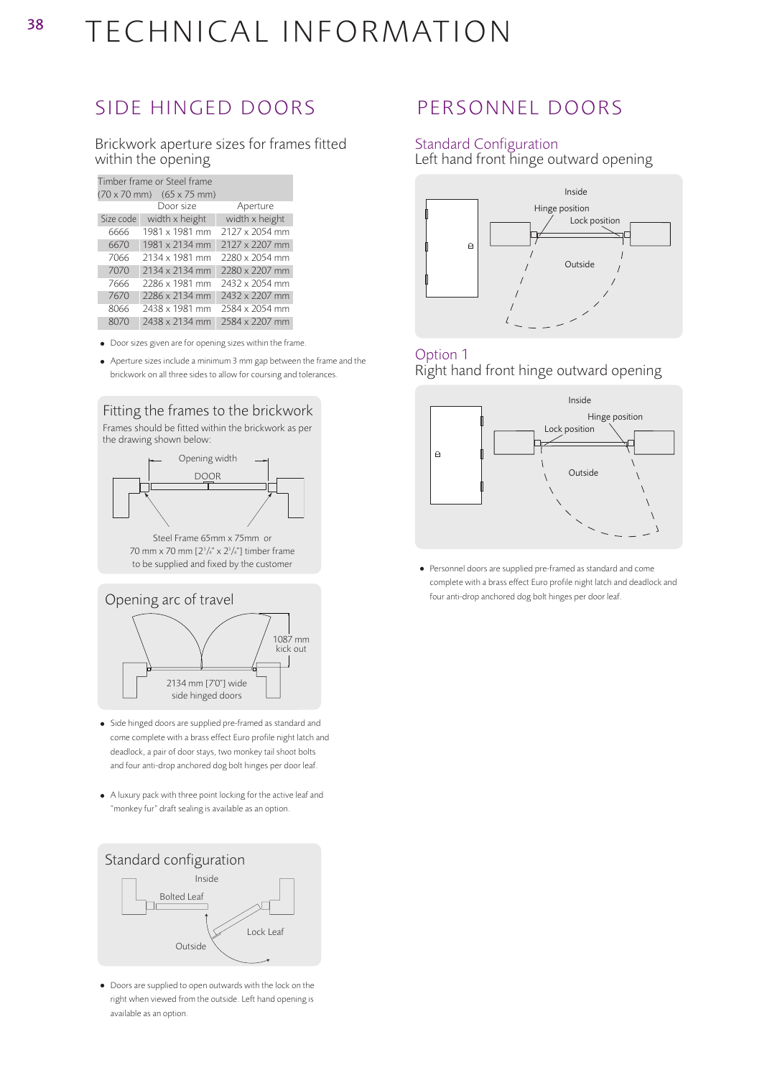### SIDE HINGED DOORS PERSONNEL DOORS

38

Brickwork aperture sizes for frames fitted within the opening

| Timber frame or Steel frame                             |                |                       |  |  |
|---------------------------------------------------------|----------------|-----------------------|--|--|
| $(70 \times 70 \text{ mm})$ $(65 \times 75 \text{ mm})$ |                |                       |  |  |
|                                                         | Door size      | Aperture              |  |  |
| Size code                                               | width x height | width x height        |  |  |
| 6666                                                    | 1981 x 1981 mm | 2127 x 2054 mm        |  |  |
| 6670                                                    | 1981 x 2134 mm | $2127 \times 2207$ mm |  |  |
| 7066                                                    | 2134 x 1981 mm | 2280 x 2054 mm        |  |  |
| 7070                                                    | 2134 x 2134 mm | 2280 x 2207 mm        |  |  |
| 7666                                                    | 2286 x 1981 mm | 2432 x 2054 mm        |  |  |
| 7670                                                    | 2286 x 2134 mm | 2432 x 2207 mm        |  |  |
| 8066                                                    | 2438 x 1981 mm | 2584 x 2054 mm        |  |  |
| 8070                                                    | 2438 x 2134 mm | 2584 x 2207 mm        |  |  |

• Door sizes given are for opening sizes within the frame.

• Aperture sizes include a minimum 3 mm gap between the frame and the brickwork on all three sides to allow for coursing and tolerances.

Fitting the frames to the brickwork Frames should be fitted within the brickwork as per



70 mm x 70 mm [23 /4" x 23 /4"] timber frame to be supplied and fixed by the customer



- Side hinged doors are supplied pre-framed as standard and come complete with a brass effect Euro profile night latch and deadlock, a pair of door stays, two monkey tail shoot bolts and four anti-drop anchored dog bolt hinges per door leaf.
- A luxury pack with three point locking for the active leaf and "monkey fur" draft sealing is available as an option.



• Doors are supplied to open outwards with the lock on the right when viewed from the outside. Left hand opening is available as an option.

#### Standard Configuration

Left hand front hinge outward opening



#### Option 1 Right hand front hinge outward opening



• Personnel doors are supplied pre-framed as standard and come complete with a brass effect Euro profile night latch and deadlock and four anti-drop anchored dog bolt hinges per door leaf.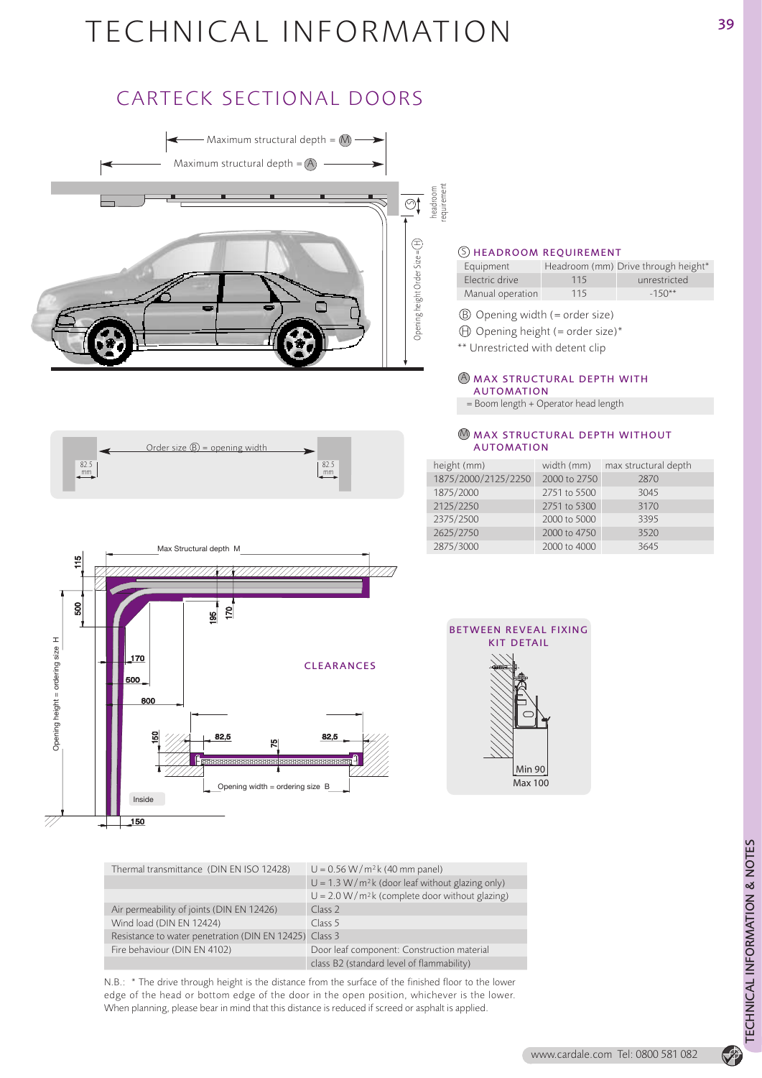## CARTECK SECTIONAL DOORS



#### $S$  HEADROOM REQUIREMENT

| Equipment        |     | Headroom (mm) Drive through height* |
|------------------|-----|-------------------------------------|
| Flectric drive   | 115 | unrestricted                        |
| Manual operation | 115 | $-150**$                            |

- B Opening width (= order size)
- $\oplus$  Opening height (= order size)\*
- \*\* Unrestricted with detent clip

#### $\bigcirc$  MAX STRUCTURAL DEPTH WITH AUTOMATION

= Boom length + Operator head length

#### $\mathbb M$  MAX STRUCTURAL DEPTH WITHOUT AUTOMATION

| width (mm)   | max structural depth |
|--------------|----------------------|
| 2000 to 2750 | 2870                 |
| 2751 to 5500 | 3045                 |
| 2751 to 5300 | 3170                 |
| 2000 to 5000 | 3395                 |
| 2000 to 4750 | 3520                 |
| 2000 to 4000 | 3645                 |
|              |                      |





| <b>BETWEEN REVEAL FIXING</b><br>KIT DETAIL |                |
|--------------------------------------------|----------------|
|                                            |                |
|                                            |                |
|                                            | <b>Min 90</b>  |
|                                            | <b>Max 100</b> |

| Thermal transmittance (DIN EN ISO 12428)               | $U = 0.56 W/m^2k$ (40 mm panel)                  |
|--------------------------------------------------------|--------------------------------------------------|
|                                                        | $U = 1.3 W/m2k$ (door leaf without glazing only) |
|                                                        | $U = 2.0 W/m2k$ (complete door without glazing)  |
| Air permeability of joints (DIN EN 12426)              | Class 2                                          |
| Wind load (DIN EN 12424)                               | Class 5                                          |
| Resistance to water penetration (DIN EN 12425) Class 3 |                                                  |
| Fire behaviour (DIN EN 4102)                           | Door leaf component: Construction material       |
|                                                        | class B2 (standard level of flammability)        |
|                                                        |                                                  |

N.B.: \* The drive through height is the distance from the surface of the finished floor to the lower edge of the head or bottom edge of the door in the open position, whichever is the lower. When planning, please bear in mind that this distance is reduced if screed or asphalt is applied.

P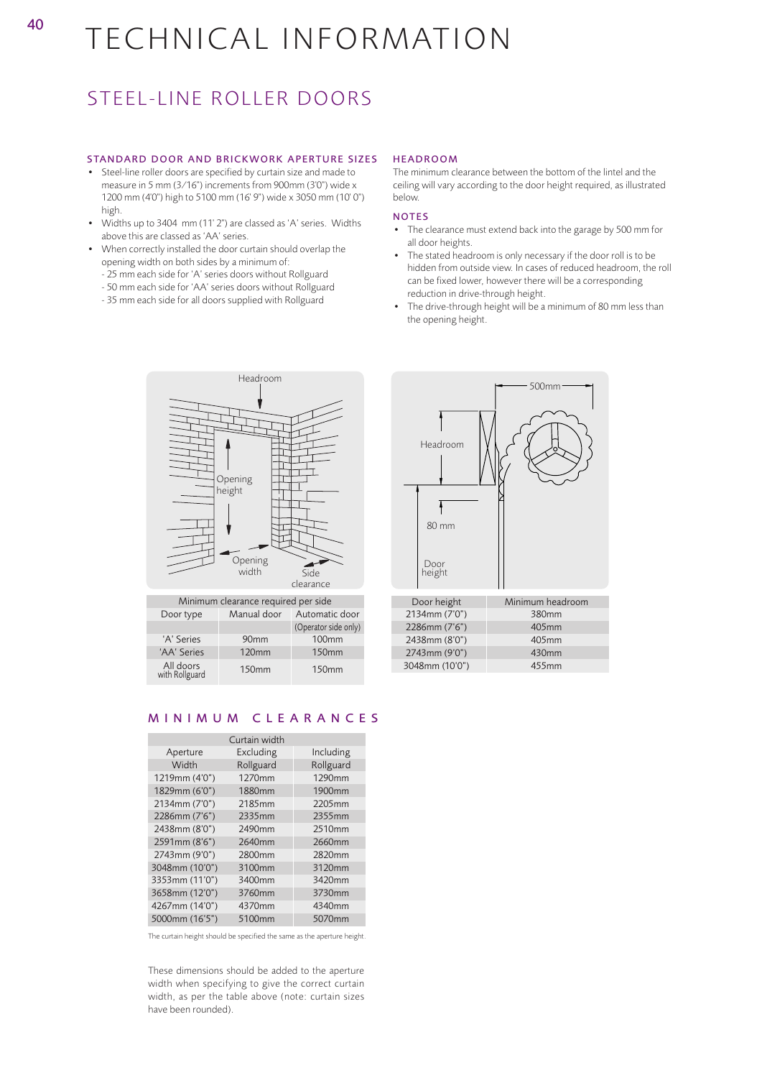# <sup>40</sup> TECHNICAL INFORMATION

### STEEL-LINE ROLLER DOORS

#### STANDARD DOOR AND BRICKWORK APERTURE SIZES

- Steel-line roller doors are specified by curtain size and made to measure in 5 mm (3⁄16") increments from 900mm (3'0") wide x 1200 mm (4'0") high to 5100 mm (16' 9") wide x 3050 mm (10' 0") high.
- Widths up to 3404 mm (11' 2") are classed as 'A' series. Widths above this are classed as 'AA' series.
- When correctly installed the door curtain should overlap the opening width on both sides by a minimum of:
	- 25 mm each side for 'A' series doors without Rollguard
	- 50 mm each side for 'AA' series doors without Rollguard
	- 35 mm each side for all doors supplied with Rollguard

#### HEADROOM

The minimum clearance between the bottom of the lintel and the ceiling will vary according to the door height required, as illustrated below.

#### NOTES

- The clearance must extend back into the garage by 500 mm for all door heights.
- The stated headroom is only necessary if the door roll is to be hidden from outside view. In cases of reduced headroom, the roll can be fixed lower, however there will be a corresponding reduction in drive-through height.
- The drive-through height will be a minimum of 80 mm less than the opening height.



| Minimum clearance required per side |                  |                      |  |
|-------------------------------------|------------------|----------------------|--|
| Door type                           | Manual door      | Automatic door       |  |
|                                     |                  | (Operator side only) |  |
| 'A' Series                          | 90 <sub>mm</sub> | <b>100mm</b>         |  |
| 'AA' Series                         | <b>120mm</b>     | <b>150mm</b>         |  |
| All doors<br>with Rollguard         | <b>150mm</b>     | <b>150mm</b>         |  |



| Door height    | Minimum headroom |
|----------------|------------------|
| 2134mm (7'0")  | 380mm            |
| 2286mm (7'6")  | 405mm            |
| 2438mm (8'0")  | 405mm            |
| 2743mm (9'0")  | 430mm            |
| 3048mm (10'0") | 455mm            |

#### MINIMUM CLEARANCES

| Curtain width  |           |           |
|----------------|-----------|-----------|
| Aperture       | Excluding | Including |
| Width          | Rollguard | Rollguard |
| 1219mm (4'0")  | 1270mm    | 1290mm    |
| 1829mm (6'0")  | 1880mm    | 1900mm    |
| 2134mm (7'0")  | 2185mm    | 2205mm    |
| 2286mm (7'6")  | 2335mm    | 2355mm    |
| 2438mm (8'0")  | 2490mm    | 2510mm    |
| 2591mm (8'6")  | 2640mm    | 2660mm    |
| 2743mm (9'0")  | 2800mm    | 2820mm    |
| 3048mm (10'0") | 3100mm    | 3120mm    |
| 3353mm (11'0") | 3400mm    | 3420mm    |
| 3658mm (12'0") | 3760mm    | 3730mm    |
| 4267mm (14'0") | 4370mm    | 4340mm    |
| 5000mm (16'5") | 5100mm    | 5070mm    |

The curtain height should be specified the same as the aperture height.

These dimensions should be added to the aperture width when specifying to give the correct curtain width, as per the table above (note: curtain sizes have been rounded).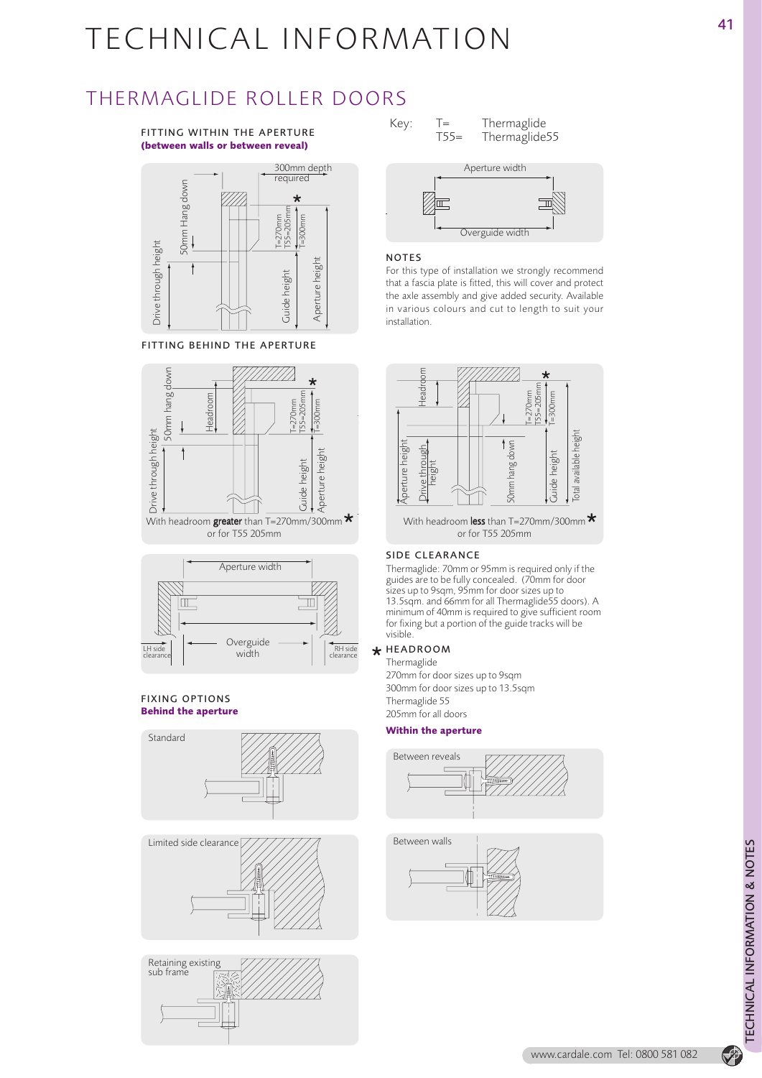### THERMAGLIDE ROLLER DOORS

#### FITTING WITHIN THE APERTURE **(between walls or between reveal)**



FITTING BEHIND THE APERTURE





#### FIXING OPTIONS **Behind the aperture**









#### NOTES

For this type of installation we strongly recommend that a fascia plate is fitted, this will cover and protect the axle assembly and give added security. Available in various colours and cut to length to suit your installation.



With headroom less than T=270mm/300mm

#### SIDE CLEARANCE

Thermaglide: 70mm or 95mm is required only if the guides are to be fully concealed. (70mm for door sizes up to 9sqm, 95mm for door sizes up to 13.5sqm. and 66mm for all Thermaglide55 doors). A minimum of 40mm is required to give sufficient room for fixing but a portion of the guide tracks will be visible.

#### HEADROOM

Thermaglide 270mm for door sizes up to 9sqm 300mm for door sizes up to 13.5sqm Thermaglide 55 205mm for all doors

#### **Within the aperture**





P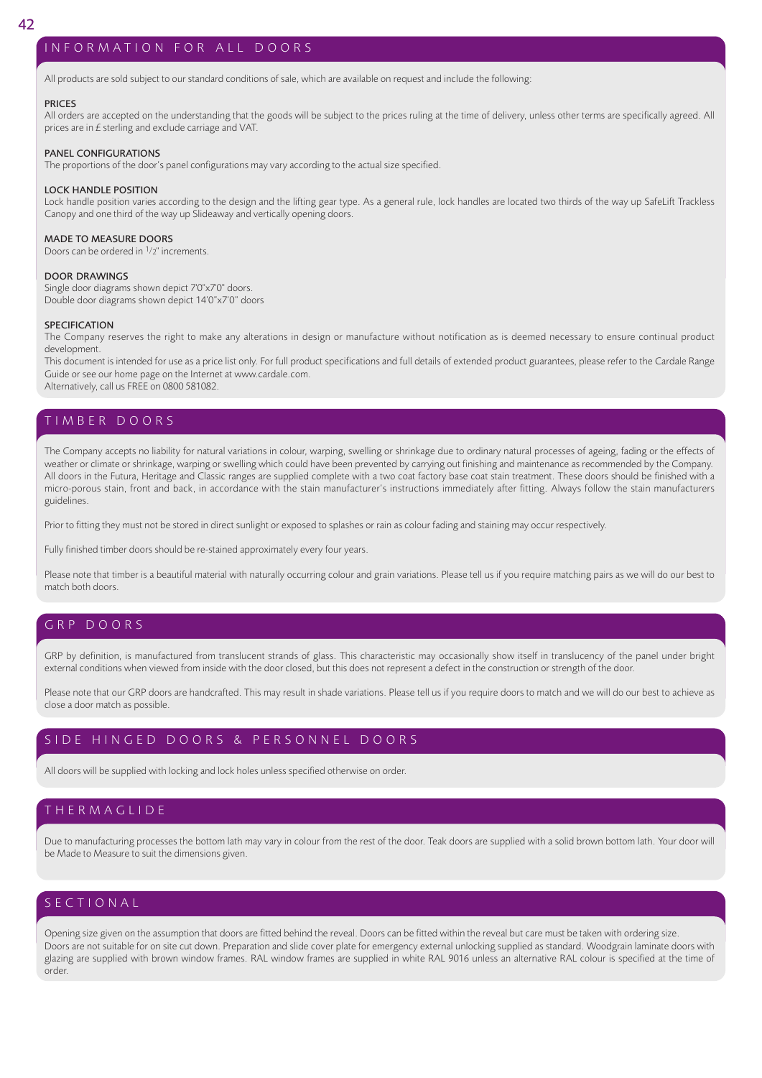#### INFORMATION FOR ALL DOORS

All products are sold subject to our standard conditions of sale, which are available on request and include the following:

#### PRICES

All orders are accepted on the understanding that the goods will be subject to the prices ruling at the time of delivery, unless other terms are specifically agreed. All prices are in £ sterling and exclude carriage and VAT.

#### PANEL CONFIGURATIONS

The proportions of the door's panel configurations may vary according to the actual size specified.

#### LOCK HANDLE POSITION

Lock handle position varies according to the design and the lifting gear type. As a general rule, lock handles are located two thirds of the way up SafeLift Trackless Canopy and one third of the way up Slideaway and vertically opening doors.

#### MADE TO MEASURE DOORS

Doors can be ordered in 1/2" increments.

#### DOOR DRAWINGS

Single door diagrams shown depict 7'0"x7'0" doors. Double door diagrams shown depict 14'0"x7'0" doors

#### **SPECIFICATION**

The Company reserves the right to make any alterations in design or manufacture without notification as is deemed necessary to ensure continual product development.

This document is intended for use as a price list only. For full product specifications and full details of extended product guarantees, please refer to the Cardale Range Guide or see our home page on the Internet at www.cardale.com. Alternatively, call us FREE on 0800 581082.

TIMBER DOORS

The Company accepts no liability for natural variations in colour, warping, swelling or shrinkage due to ordinary natural processes of ageing, fading or the effects of weather or climate or shrinkage, warping or swelling which could have been prevented by carrying out finishing and maintenance as recommended by the Company. All doors in the Futura, Heritage and Classic ranges are supplied complete with a two coat factory base coat stain treatment. These doors should be finished with a micro-porous stain, front and back, in accordance with the stain manufacturer's instructions immediately after fitting. Always follow the stain manufacturers guidelines.

Prior to fitting they must not be stored in direct sunlight or exposed to splashes or rain as colour fading and staining may occur respectively.

Fully finished timber doors should be re-stained approximately every four years.

Please note that timber is a beautiful material with naturally occurring colour and grain variations. Please tell us if you require matching pairs as we will do our best to match both doors.

#### GRP DOORS

GRP by definition, is manufactured from translucent strands of glass. This characteristic may occasionally show itself in translucency of the panel under bright external conditions when viewed from inside with the door closed, but this does not represent a defect in the construction or strength of the door.

Please note that our GRP doors are handcrafted. This may result in shade variations. Please tell us if you require doors to match and we will do our best to achieve as close a door match as possible.

#### SIDE HINGED DOORS & PERSONNEL DOORS

All doors will be supplied with locking and lock holes unless specified otherwise on order.

#### THERMAGLIDE

Due to manufacturing processes the bottom lath may vary in colour from the rest of the door. Teak doors are supplied with a solid brown bottom lath. Your door will be Made to Measure to suit the dimensions given.

### SECTIONAL

Opening size given on the assumption that doors are fitted behind the reveal. Doors can be fitted within the reveal but care must be taken with ordering size. Doors are not suitable for on site cut down. Preparation and slide cover plate for emergency external unlocking supplied as standard. Woodgrain laminate doors with glazing are supplied with brown window frames. RAL window frames are supplied in white RAL 9016 unless an alternative RAL colour is specified at the time of order.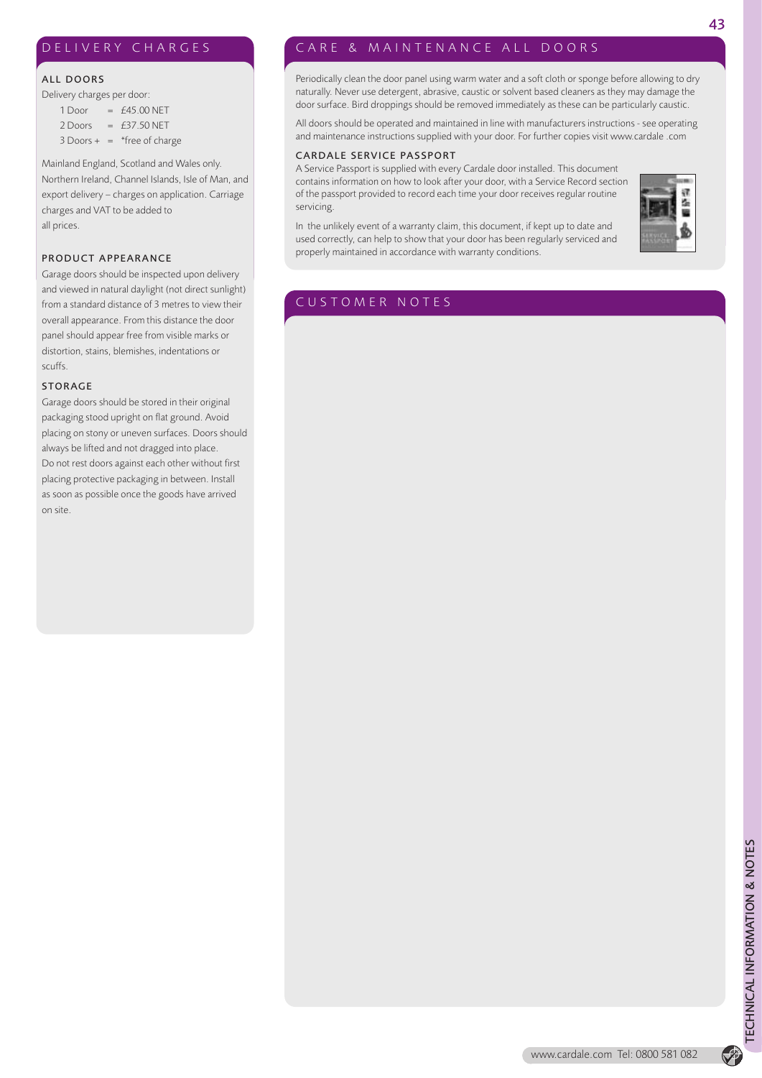#### DELIVERY CHARGES

#### ALL DOORS

Delivery charges per door:

 $1$  Door = £45.00 NET  $2$  Doors = £37.50 NET  $3$  Doors + = \*free of charge

Mainland England, Scotland and Wales only. Northern Ireland, Channel Islands, Isle of Man, and export delivery – charges on application. Carriage charges and VAT to be added to all prices.

#### PRODUCT APPEARANCE

Garage doors should be inspected upon delivery and viewed in natural daylight (not direct sunlight) from a standard distance of 3 metres to view their overall appearance. From this distance the door panel should appear free from visible marks or distortion, stains, blemishes, indentations or scuffs.

#### STORAGE

Garage doors should be stored in their original packaging stood upright on flat ground. Avoid placing on stony or uneven surfaces. Doors should always be lifted and not dragged into place. Do not rest doors against each other without first placing protective packaging in between. Install as soon as possible once the goods have arrived on site.

#### CARE & MAINTENANCE ALL DOORS

Periodically clean the door panel using warm water and a soft cloth or sponge before allowing to dry naturally. Never use detergent, abrasive, caustic or solvent based cleaners as they may damage the door surface. Bird droppings should be removed immediately as these can be particularly caustic.

All doors should be operated and maintained in line with manufacturers instructions - see operating and maintenance instructions supplied with your door. For further copies visit www.cardale .com

#### CARDALE SERVICE PASSPORT

A Service Passport is supplied with every Cardale door installed. This document contains information on how to look after your door, with a Service Record section of the passport provided to record each time your door receives regular routine servicing.

In the unlikely event of a warranty claim, this document, if kept up to date and used correctly, can help to show that your door has been regularly serviced and properly maintained in accordance with warranty conditions.



### CUSTOMER NOTES

 $\bigcirc$